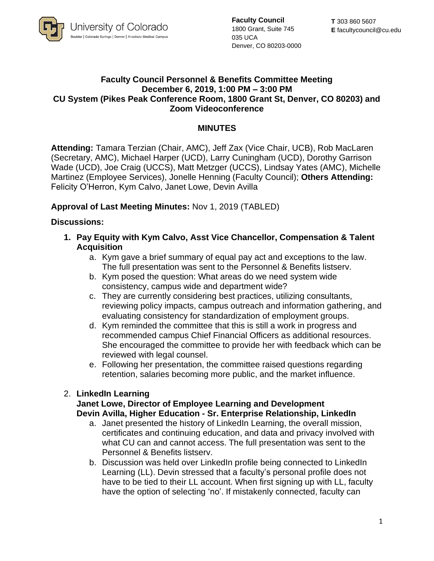

**Faculty Council** 1800 Grant, Suite 745 035 UCA Denver, CO 80203-0000

## **Faculty Council Personnel & Benefits Committee Meeting December 6, 2019, 1:00 PM – 3:00 PM CU System (Pikes Peak Conference Room, 1800 Grant St, Denver, CO 80203) and Zoom Videoconference**

## **MINUTES**

**Attending:** Tamara Terzian (Chair, AMC), Jeff Zax (Vice Chair, UCB), Rob MacLaren (Secretary, AMC), Michael Harper (UCD), Larry Cuningham (UCD), Dorothy Garrison Wade (UCD), Joe Craig (UCCS), Matt Metzger (UCCS), Lindsay Yates (AMC), Michelle Martinez (Employee Services), Jonelle Henning (Faculty Council); **Others Attending:** Felicity O'Herron, Kym Calvo, Janet Lowe, Devin Avilla

## **Approval of Last Meeting Minutes:** Nov 1, 2019 (TABLED)

### **Discussions:**

- **1. Pay Equity with Kym Calvo, Asst Vice Chancellor, Compensation & Talent Acquisition** 
	- a. Kym gave a brief summary of equal pay act and exceptions to the law. The full presentation was sent to the Personnel & Benefits listserv.
	- b. Kym posed the question: What areas do we need system wide consistency, campus wide and department wide?
	- c. They are currently considering best practices, utilizing consultants, reviewing policy impacts, campus outreach and information gathering, and evaluating consistency for standardization of employment groups.
	- d. Kym reminded the committee that this is still a work in progress and recommended campus Chief Financial Officers as additional resources. She encouraged the committee to provide her with feedback which can be reviewed with legal counsel.
	- e. Following her presentation, the committee raised questions regarding retention, salaries becoming more public, and the market influence.

### 2. **LinkedIn Learning**

#### **Janet Lowe, Director of Employee Learning and Development Devin Avilla, Higher Education - Sr. Enterprise Relationship, LinkedIn**

- a. Janet presented the history of LinkedIn Learning, the overall mission, certificates and continuing education, and data and privacy involved with what CU can and cannot access. The full presentation was sent to the Personnel & Benefits listserv.
- b. Discussion was held over LinkedIn profile being connected to LinkedIn Learning (LL). Devin stressed that a faculty's personal profile does not have to be tied to their LL account. When first signing up with LL, faculty have the option of selecting 'no'. If mistakenly connected, faculty can